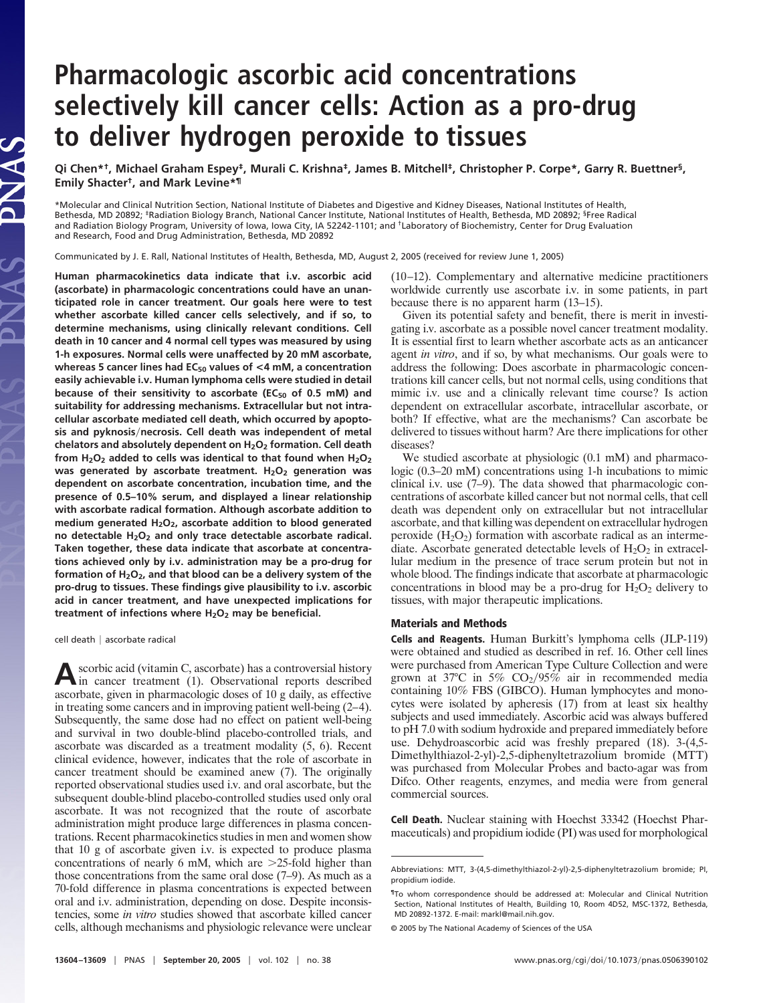## **Pharmacologic ascorbic acid concentrations selectively kill cancer cells: Action as a pro-drug to deliver hydrogen peroxide to tissues**

**Qi Chen\*†, Michael Graham Espey‡, Murali C. Krishna‡, James B. Mitchell‡, Christopher P. Corpe\*, Garry R. Buettner§, Emily Shacter†, and Mark Levine\*¶**

\*Molecular and Clinical Nutrition Section, National Institute of Diabetes and Digestive and Kidney Diseases, National Institutes of Health, Bethesda, MD 20892; <sup>‡</sup>Radiation Biology Branch, National Cancer Institute, National Institutes of Health, Bethesda, MD 20892; <sup>§</sup>Free Radical and Radiation Biology Program, University of Iowa, Iowa City, IA 52242-1101; and †Laboratory of Biochemistry, Center for Drug Evaluation and Research, Food and Drug Administration, Bethesda, MD 20892

Communicated by J. E. Rall, National Institutes of Health, Bethesda, MD, August 2, 2005 (received for review June 1, 2005)

**Human pharmacokinetics data indicate that i.v. ascorbic acid (ascorbate) in pharmacologic concentrations could have an unanticipated role in cancer treatment. Our goals here were to test whether ascorbate killed cancer cells selectively, and if so, to determine mechanisms, using clinically relevant conditions. Cell death in 10 cancer and 4 normal cell types was measured by using 1-h exposures. Normal cells were unaffected by 20 mM ascorbate, whereas 5 cancer lines had EC50 values of <4 mM, a concentration easily achievable i.v. Human lymphoma cells were studied in detail** because of their sensitivity to ascorbate (EC<sub>50</sub> of 0.5 mM) and **suitability for addressing mechanisms. Extracellular but not intracellular ascorbate mediated cell death, which occurred by apoptosis and pyknosisnecrosis. Cell death was independent of metal chelators and absolutely dependent on H2O2 formation. Cell death from H2O2 added to cells was identical to that found when H2O2 was generated by ascorbate treatment. H2O2 generation was dependent on ascorbate concentration, incubation time, and the presence of 0.5–10% serum, and displayed a linear relationship with ascorbate radical formation. Although ascorbate addition to medium generated H2O2, ascorbate addition to blood generated no detectable H2O2 and only trace detectable ascorbate radical. Taken together, these data indicate that ascorbate at concentrations achieved only by i.v. administration may be a pro-drug for formation of H2O2, and that blood can be a delivery system of the pro-drug to tissues. These findings give plausibility to i.v. ascorbic acid in cancer treatment, and have unexpected implications for treatment of infections where H2O2 may be beneficial.**

cell death | ascorbate radical

**A**scorbic acid (vitamin C, ascorbate) has a controversial history in cancer treatment (1). Observational reports described ascorbate, given in pharmacologic doses of 10 g daily, as effective in treating some cancers and in improving patient well-being (2–4). Subsequently, the same dose had no effect on patient well-being and survival in two double-blind placebo-controlled trials, and ascorbate was discarded as a treatment modality (5, 6). Recent clinical evidence, however, indicates that the role of ascorbate in cancer treatment should be examined anew (7). The originally reported observational studies used i.v. and oral ascorbate, but the subsequent double-blind placebo-controlled studies used only oral ascorbate. It was not recognized that the route of ascorbate administration might produce large differences in plasma concentrations. Recent pharmacokinetics studies in men and women show that 10 g of ascorbate given i.v. is expected to produce plasma concentrations of nearly 6 mM, which are  $>25$ -fold higher than those concentrations from the same oral dose (7–9). As much as a 70-fold difference in plasma concentrations is expected between oral and i.v. administration, depending on dose. Despite inconsistencies, some *in vitro* studies showed that ascorbate killed cancer cells, although mechanisms and physiologic relevance were unclear (10–12). Complementary and alternative medicine practitioners worldwide currently use ascorbate i.v. in some patients, in part because there is no apparent harm (13–15).

Given its potential safety and benefit, there is merit in investigating i.v. ascorbate as a possible novel cancer treatment modality. It is essential first to learn whether ascorbate acts as an anticancer agent *in vitro*, and if so, by what mechanisms. Our goals were to address the following: Does ascorbate in pharmacologic concentrations kill cancer cells, but not normal cells, using conditions that mimic i.v. use and a clinically relevant time course? Is action dependent on extracellular ascorbate, intracellular ascorbate, or both? If effective, what are the mechanisms? Can ascorbate be delivered to tissues without harm? Are there implications for other diseases?

We studied ascorbate at physiologic  $(0.1 \text{ mM})$  and pharmacologic (0.3–20 mM) concentrations using 1-h incubations to mimic clinical i.v. use (7–9). The data showed that pharmacologic concentrations of ascorbate killed cancer but not normal cells, that cell death was dependent only on extracellular but not intracellular ascorbate, and that killing was dependent on extracellular hydrogen peroxide  $(H_2O_2)$  formation with ascorbate radical as an intermediate. Ascorbate generated detectable levels of  $H_2O_2$  in extracellular medium in the presence of trace serum protein but not in whole blood. The findings indicate that ascorbate at pharmacologic concentrations in blood may be a pro-drug for  $H_2O_2$  delivery to tissues, with major therapeutic implications.

## **Materials and Methods**

**Cells and Reagents.** Human Burkitt's lymphoma cells (JLP-119) were obtained and studied as described in ref. 16. Other cell lines were purchased from American Type Culture Collection and were grown at 37°C in 5%  $CO<sub>2</sub>/95%$  air in recommended media containing 10% FBS (GIBCO). Human lymphocytes and monocytes were isolated by apheresis (17) from at least six healthy subjects and used immediately. Ascorbic acid was always buffered to pH 7.0 with sodium hydroxide and prepared immediately before use. Dehydroascorbic acid was freshly prepared (18). 3-(4,5- Dimethylthiazol-2-yl)-2,5-diphenyltetrazolium bromide (MTT) was purchased from Molecular Probes and bacto-agar was from Difco. Other reagents, enzymes, and media were from general commercial sources.

**Cell Death.** Nuclear staining with Hoechst 33342 (Hoechst Pharmaceuticals) and propidium iodide (PI) was used for morphological

Abbreviations: MTT, 3-(4,5-dimethylthiazol-2-yl)-2,5-diphenyltetrazolium bromide; PI, propidium iodide.

<sup>¶</sup>To whom correspondence should be addressed at: Molecular and Clinical Nutrition Section, National Institutes of Health, Building 10, Room 4D52, MSC-1372, Bethesda, MD 20892-1372. E-mail: markl@mail.nih.gov.

<sup>© 2005</sup> by The National Academy of Sciences of the USA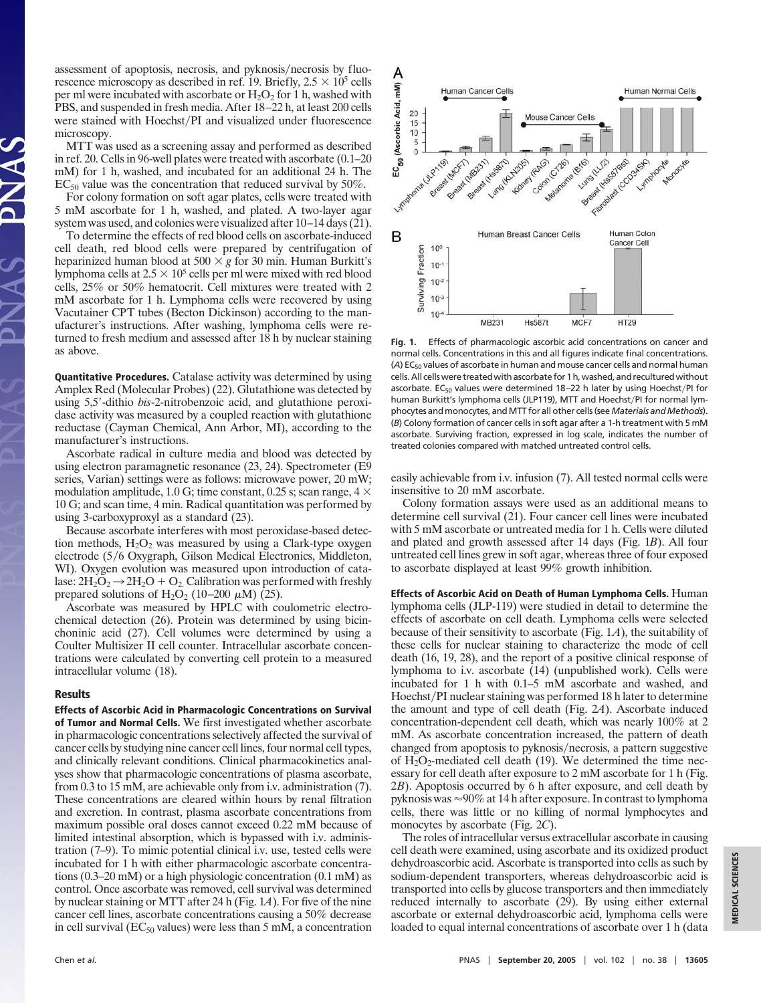assessment of apoptosis, necrosis, and pyknosis/necrosis by fluorescence microscopy as described in ref. 19. Briefly,  $2.5 \times 10^5$  cells per ml were incubated with ascorbate or  $H_2O_2$  for 1 h, washed with PBS, and suspended in fresh media. After 18–22 h, at least 200 cells were stained with Hoechst/PI and visualized under fluorescence microscopy.

MTT was used as a screening assay and performed as described in ref. 20. Cells in 96-well plates were treated with ascorbate (0.1–20 mM) for 1 h, washed, and incubated for an additional 24 h. The  $EC_{50}$  value was the concentration that reduced survival by 50%.

For colony formation on soft agar plates, cells were treated with 5 mM ascorbate for 1 h, washed, and plated. A two-layer agar system was used, and colonies were visualized after 10–14 days (21).

To determine the effects of red blood cells on ascorbate-induced cell death, red blood cells were prepared by centrifugation of heparinized human blood at  $500 \times g$  for 30 min. Human Burkitt's lymphoma cells at  $2.5 \times 10^5$  cells per ml were mixed with red blood cells, 25% or 50% hematocrit. Cell mixtures were treated with 2 mM ascorbate for 1 h. Lymphoma cells were recovered by using Vacutainer CPT tubes (Becton Dickinson) according to the manufacturer's instructions. After washing, lymphoma cells were returned to fresh medium and assessed after 18 h by nuclear staining as above.

**Quantitative Procedures.** Catalase activity was determined by using Amplex Red (Molecular Probes) (22). Glutathione was detected by using 5,5-dithio *bis*-2-nitrobenzoic acid, and glutathione peroxidase activity was measured by a coupled reaction with glutathione reductase (Cayman Chemical, Ann Arbor, MI), according to the manufacturer's instructions.

Ascorbate radical in culture media and blood was detected by using electron paramagnetic resonance (23, 24). Spectrometer (E9 series, Varian) settings were as follows: microwave power, 20 mW; modulation amplitude, 1.0 G; time constant, 0.25 s; scan range, 4  $\times$ 10 G; and scan time, 4 min. Radical quantitation was performed by using 3-carboxyproxyl as a standard (23).

Because ascorbate interferes with most peroxidase-based detection methods,  $H_2O_2$  was measured by using a Clark-type oxygen electrode (5/6 Oxygraph, Gilson Medical Electronics, Middleton, WI). Oxygen evolution was measured upon introduction of catalase:  $2H_2O_2 \rightarrow 2H_2O + O_2$ . Calibration was performed with freshly prepared solutions of  $H_2O_2$  (10–200  $\mu$ M) (25).

Ascorbate was measured by HPLC with coulometric electrochemical detection (26). Protein was determined by using bicinchoninic acid (27). Cell volumes were determined by using a Coulter Multisizer II cell counter. Intracellular ascorbate concentrations were calculated by converting cell protein to a measured intracellular volume (18).

## **Results**

**Effects of Ascorbic Acid in Pharmacologic Concentrations on Survival of Tumor and Normal Cells.** We first investigated whether ascorbate in pharmacologic concentrations selectively affected the survival of cancer cells by studying nine cancer cell lines, four normal cell types, and clinically relevant conditions. Clinical pharmacokinetics analyses show that pharmacologic concentrations of plasma ascorbate, from 0.3 to 15 mM, are achievable only from i.v. administration (7). These concentrations are cleared within hours by renal filtration and excretion. In contrast, plasma ascorbate concentrations from maximum possible oral doses cannot exceed 0.22 mM because of limited intestinal absorption, which is bypassed with i.v. administration (7–9). To mimic potential clinical i.v. use, tested cells were incubated for 1 h with either pharmacologic ascorbate concentrations (0.3–20 mM) or a high physiologic concentration (0.1 mM) as control. Once ascorbate was removed, cell survival was determined by nuclear staining or MTT after 24 h (Fig. 1*A*). For five of the nine cancer cell lines, ascorbate concentrations causing a 50% decrease in cell survival ( $EC_{50}$  values) were less than 5 mM, a concentration



**Fig. 1.** Effects of pharmacologic ascorbic acid concentrations on cancer and normal cells. Concentrations in this and all figures indicate final concentrations. (A) EC<sub>50</sub> values of ascorbate in human and mouse cancer cells and normal human cells. All cells were treated with ascorbate for 1 h, washed, and recultured without ascorbate. EC<sub>50</sub> values were determined 18–22 h later by using Hoechst/PI for human Burkitt's lymphoma cells (JLP119), MTT and Hoechst/PI for normal lymphocytes and monocytes, and MTT for all other cells (see *Materials and Methods*). (*B*) Colony formation of cancer cells in soft agar after a 1-h treatment with 5 mM ascorbate. Surviving fraction, expressed in log scale, indicates the number of treated colonies compared with matched untreated control cells.

easily achievable from i.v. infusion (7). All tested normal cells were insensitive to 20 mM ascorbate.

Colony formation assays were used as an additional means to determine cell survival (21). Four cancer cell lines were incubated with 5 mM ascorbate or untreated media for 1 h. Cells were diluted and plated and growth assessed after 14 days (Fig. 1*B*). All four untreated cell lines grew in soft agar, whereas three of four exposed to ascorbate displayed at least 99% growth inhibition.

**Effects of Ascorbic Acid on Death of Human Lymphoma Cells.** Human lymphoma cells (JLP-119) were studied in detail to determine the effects of ascorbate on cell death. Lymphoma cells were selected because of their sensitivity to ascorbate (Fig. 1*A*), the suitability of these cells for nuclear staining to characterize the mode of cell death (16, 19, 28), and the report of a positive clinical response of lymphoma to i.v. ascorbate (14) (unpublished work). Cells were incubated for 1 h with 0.1–5 mM ascorbate and washed, and Hoechst/PI nuclear staining was performed 18 h later to determine the amount and type of cell death (Fig. 2*A*). Ascorbate induced concentration-dependent cell death, which was nearly 100% at 2 mM. As ascorbate concentration increased, the pattern of death changed from apoptosis to pyknosis/necrosis, a pattern suggestive of  $H_2O_2$ -mediated cell death (19). We determined the time necessary for cell death after exposure to 2 mM ascorbate for 1 h (Fig. 2*B*). Apoptosis occurred by 6 h after exposure, and cell death by pyknosis was  $\approx 90\%$  at 14 h after exposure. In contrast to lymphoma cells, there was little or no killing of normal lymphocytes and monocytes by ascorbate (Fig. 2*C*).

The roles of intracellular versus extracellular ascorbate in causing cell death were examined, using ascorbate and its oxidized product dehydroascorbic acid. Ascorbate is transported into cells as such by sodium-dependent transporters, whereas dehydroascorbic acid is transported into cells by glucose transporters and then immediately reduced internally to ascorbate (29). By using either external ascorbate or external dehydroascorbic acid, lymphoma cells were loaded to equal internal concentrations of ascorbate over 1 h (data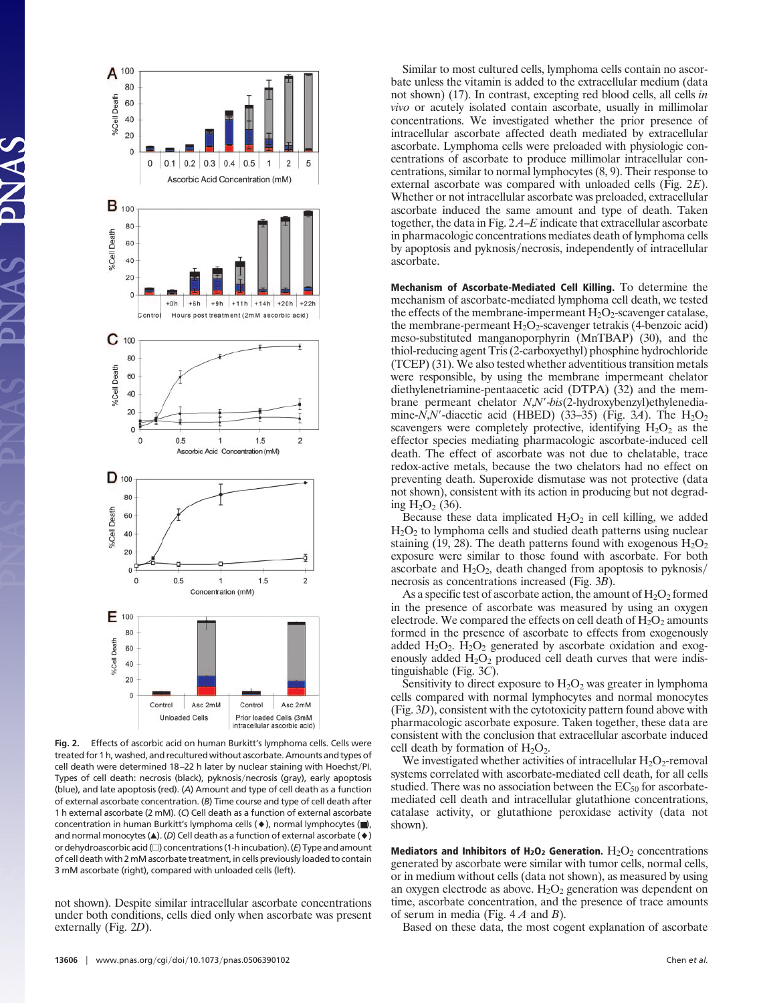

**Fig. 2.** Effects of ascorbic acid on human Burkitt's lymphoma cells. Cells were treated for 1 h, washed, and recultured without ascorbate. Amounts and types of cell death were determined 18-22 h later by nuclear staining with Hoechst/PI. Types of cell death: necrosis (black), pyknosis/necrosis (gray), early apoptosis (blue), and late apoptosis (red). (*A*) Amount and type of cell death as a function of external ascorbate concentration. (*B*) Time course and type of cell death after 1 h external ascorbate (2 mM). (*C*) Cell death as a function of external ascorbate concentration in human Burkitt's lymphoma cells  $(*)$ , normal lymphocytes  $(\blacksquare)$ , and normal monocytes  $(\triangle)$ . (*D*) Cell death as a function of external ascorbate  $(\diamond)$ or dehydroascorbic acid  $(\square)$  concentrations (1-h incubation). ( $E$ ) Type and amount of cell death with 2 mM ascorbate treatment, in cells previously loaded to contain 3 mM ascorbate (right), compared with unloaded cells (left).

not shown). Despite similar intracellular ascorbate concentrations under both conditions, cells died only when ascorbate was present externally (Fig. 2*D*).

Similar to most cultured cells, lymphoma cells contain no ascorbate unless the vitamin is added to the extracellular medium (data not shown) (17). In contrast, excepting red blood cells, all cells *in vivo* or acutely isolated contain ascorbate, usually in millimolar concentrations. We investigated whether the prior presence of intracellular ascorbate affected death mediated by extracellular ascorbate. Lymphoma cells were preloaded with physiologic concentrations of ascorbate to produce millimolar intracellular concentrations, similar to normal lymphocytes (8, 9). Their response to external ascorbate was compared with unloaded cells (Fig. 2*E*). Whether or not intracellular ascorbate was preloaded, extracellular ascorbate induced the same amount and type of death. Taken together, the data in Fig. 2 *A*–*E* indicate that extracellular ascorbate in pharmacologic concentrations mediates death of lymphoma cells by apoptosis and pyknosis/necrosis, independently of intracellular ascorbate.

**Mechanism of Ascorbate-Mediated Cell Killing.** To determine the mechanism of ascorbate-mediated lymphoma cell death, we tested the effects of the membrane-impermeant  $H_2O_2$ -scavenger catalase, the membrane-permeant  $H_2O_2$ -scavenger tetrakis (4-benzoic acid) meso-substituted manganoporphyrin (MnTBAP) (30), and the thiol-reducing agent Tris (2-carboxyethyl) phosphine hydrochloride (TCEP) (31). We also tested whether adventitious transition metals were responsible, by using the membrane impermeant chelator diethylenetriamine-pentaacetic acid (DTPA) (32) and the membrane permeant chelator *N*,*N*-*bis*(2-hydroxybenzyl)ethylenediamine- $N$ , $N'$ -diacetic acid (HBED) (33–35) (Fig. 3A). The  $H_2O_2$ scavengers were completely protective, identifying  $H_2O_2$  as the effector species mediating pharmacologic ascorbate-induced cell death. The effect of ascorbate was not due to chelatable, trace redox-active metals, because the two chelators had no effect on preventing death. Superoxide dismutase was not protective (data not shown), consistent with its action in producing but not degrading  $H_2O_2$  (36).

Because these data implicated  $H_2O_2$  in cell killing, we added  $H<sub>2</sub>O<sub>2</sub>$  to lymphoma cells and studied death patterns using nuclear staining (19, 28). The death patterns found with exogenous  $H_2O_2$ exposure were similar to those found with ascorbate. For both ascorbate and  $H_2O_2$ , death changed from apoptosis to pyknosis/ necrosis as concentrations increased (Fig. 3*B*).

As a specific test of ascorbate action, the amount of  $H_2O_2$  formed in the presence of ascorbate was measured by using an oxygen electrode. We compared the effects on cell death of  $H_2O_2$  amounts formed in the presence of ascorbate to effects from exogenously added  $H_2O_2$ .  $H_2O_2$  generated by ascorbate oxidation and exogenously added  $H_2O_2$  produced cell death curves that were indistinguishable (Fig. 3*C*).

Sensitivity to direct exposure to  $H_2O_2$  was greater in lymphoma cells compared with normal lymphocytes and normal monocytes (Fig. 3*D*), consistent with the cytotoxicity pattern found above with pharmacologic ascorbate exposure. Taken together, these data are consistent with the conclusion that extracellular ascorbate induced cell death by formation of  $H_2O_2$ .

We investigated whether activities of intracellular  $H_2O_2$ -removal systems correlated with ascorbate-mediated cell death, for all cells studied. There was no association between the  $EC_{50}$  for ascorbatemediated cell death and intracellular glutathione concentrations, catalase activity, or glutathione peroxidase activity (data not shown).

**Mediators and Inhibitors of**  $H_2O_2$  **Generation.**  $H_2O_2$  concentrations generated by ascorbate were similar with tumor cells, normal cells, or in medium without cells (data not shown), as measured by using an oxygen electrode as above.  $H_2O_2$  generation was dependent on time, ascorbate concentration, and the presence of trace amounts of serum in media (Fig. 4 *A* and *B*).

Based on these data, the most cogent explanation of ascorbate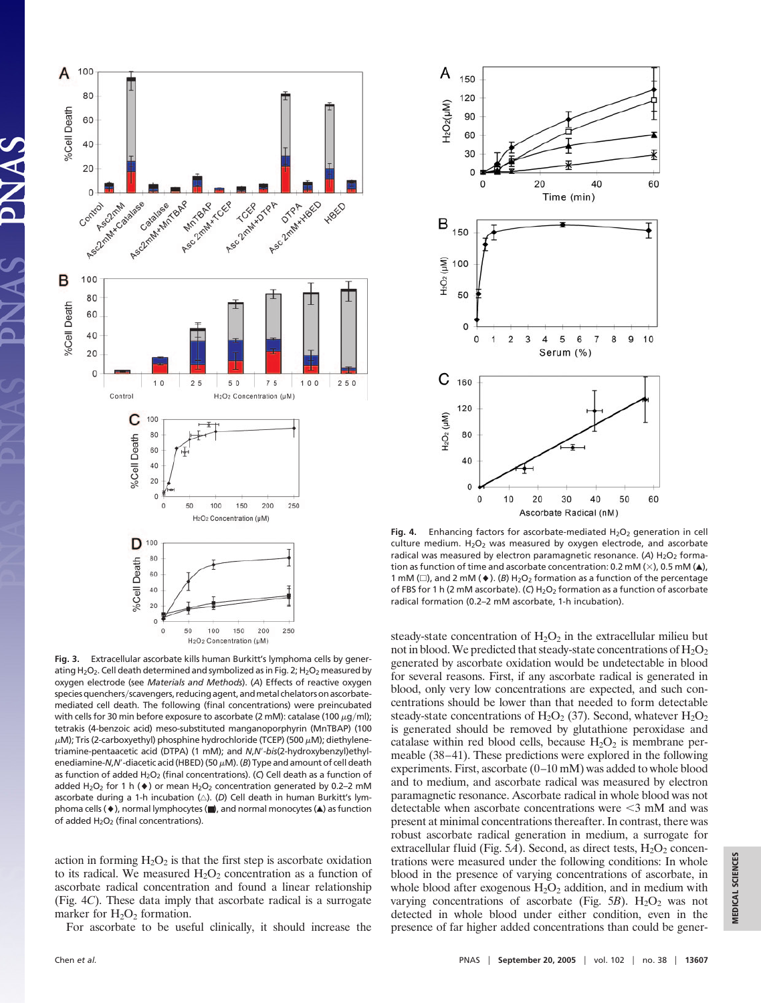

**Fig. 3.** Extracellular ascorbate kills human Burkitt's lymphoma cells by generating  $H_2O_2$ . Cell death determined and symbolized as in Fig. 2;  $H_2O_2$  measured by oxygen electrode (see *Materials and Methods*). (*A*) Effects of reactive oxygen species quenchers/scavengers, reducing agent, and metal chelators on ascorbatemediated cell death. The following (final concentrations) were preincubated with cells for 30 min before exposure to ascorbate (2 mM): catalase (100  $\mu$ g/ml); tetrakis (4-benzoic acid) meso-substituted manganoporphyrin (MnTBAP) (100  $\mu$ M); Tris (2-carboxyethyl) phosphine hydrochloride (TCEP) (500  $\mu$ M); diethylenetriamine-pentaacetic acid (DTPA) (1 mM); and *N*,*N*-*bis*(2-hydroxybenzyl)ethylenediamine- $N$ , $N'$ -diacetic acid (HBED) (50  $\mu$ M). (*B*) Type and amount of cell death as function of added H<sub>2</sub>O<sub>2</sub> (final concentrations). (C) Cell death as a function of added H<sub>2</sub>O<sub>2</sub> for 1 h ( $\blacklozenge$ ) or mean H<sub>2</sub>O<sub>2</sub> concentration generated by 0.2–2 mM ascorbate during a 1-h incubation ( $\triangle$ ). (D) Cell death in human Burkitt's lymphoma cells (♦), normal lymphocytes (■), and normal monocytes (▲) as function of added  $H_2O_2$  (final concentrations).

action in forming  $H_2O_2$  is that the first step is ascorbate oxidation to its radical. We measured  $H_2O_2$  concentration as a function of ascorbate radical concentration and found a linear relationship (Fig. 4*C*). These data imply that ascorbate radical is a surrogate marker for  $H_2O_2$  formation.

For ascorbate to be useful clinically, it should increase the



**Fig. 4.** Enhancing factors for ascorbate-mediated  $H_2O_2$  generation in cell culture medium.  $H_2O_2$  was measured by oxygen electrode, and ascorbate radical was measured by electron paramagnetic resonance. (A) H<sub>2</sub>O<sub>2</sub> formation as function of time and ascorbate concentration: 0.2 mM ( $\times$ ), 0.5 mM ( $\triangle$ ), 1 mM ( $\Box$ ), and 2 mM ( $\blacklozenge$ ). (*B*) H<sub>2</sub>O<sub>2</sub> formation as a function of the percentage of FBS for 1 h (2 mM ascorbate). (C) H<sub>2</sub>O<sub>2</sub> formation as a function of ascorbate radical formation (0.2–2 mM ascorbate, 1-h incubation).

steady-state concentration of  $H_2O_2$  in the extracellular milieu but not in blood. We predicted that steady-state concentrations of  $H_2O_2$ generated by ascorbate oxidation would be undetectable in blood for several reasons. First, if any ascorbate radical is generated in blood, only very low concentrations are expected, and such concentrations should be lower than that needed to form detectable steady-state concentrations of  $H_2O_2$  (37). Second, whatever  $H_2O_2$ is generated should be removed by glutathione peroxidase and catalase within red blood cells, because  $H_2O_2$  is membrane permeable (38–41). These predictions were explored in the following experiments. First, ascorbate (0–10 mM) was added to whole blood and to medium, and ascorbate radical was measured by electron paramagnetic resonance. Ascorbate radical in whole blood was not detectable when ascorbate concentrations were  $\leq$ 3 mM and was present at minimal concentrations thereafter. In contrast, there was robust ascorbate radical generation in medium, a surrogate for extracellular fluid (Fig.  $5A$ ). Second, as direct tests,  $H_2O_2$  concentrations were measured under the following conditions: In whole blood in the presence of varying concentrations of ascorbate, in whole blood after exogenous  $H_2O_2$  addition, and in medium with varying concentrations of ascorbate (Fig.  $5B$ ). H<sub>2</sub>O<sub>2</sub> was not detected in whole blood under either condition, even in the presence of far higher added concentrations than could be gener-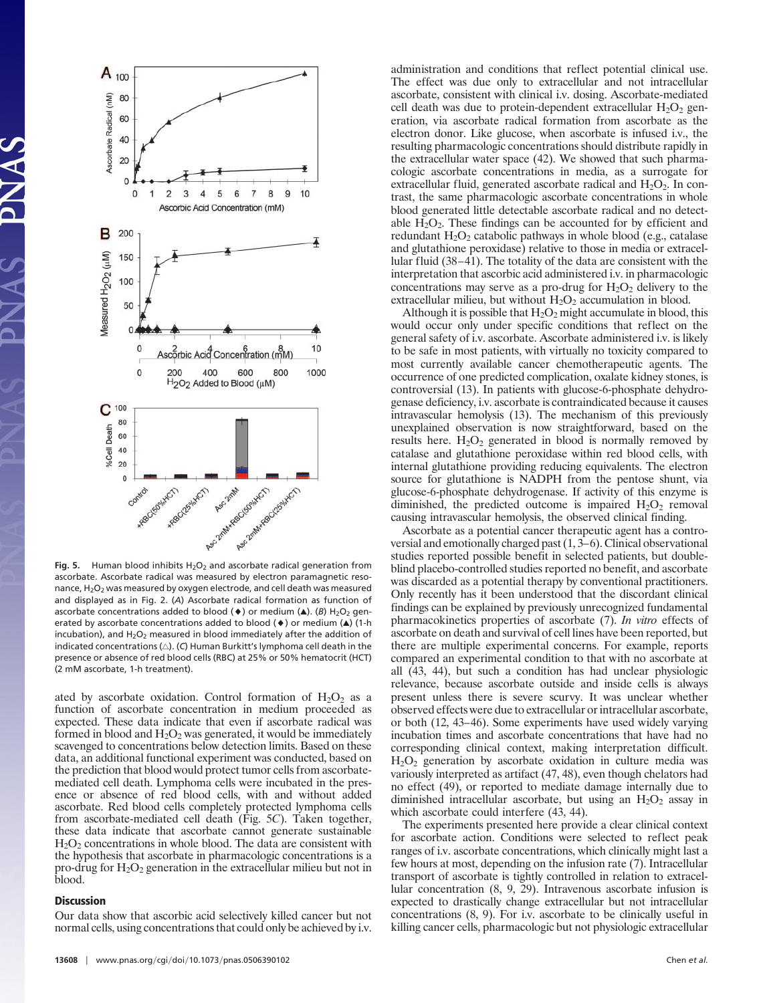

Fig. 5. Human blood inhibits  $H_2O_2$  and ascorbate radical generation from ascorbate. Ascorbate radical was measured by electron paramagnetic resonance, H<sub>2</sub>O<sub>2</sub> was measured by oxygen electrode, and cell death was measured and displayed as in Fig. 2. (*A*) Ascorbate radical formation as function of ascorbate concentrations added to blood  $(\blacklozenge)$  or medium  $(\blacktriangle)$ . (*B*) H<sub>2</sub>O<sub>2</sub> generated by ascorbate concentrations added to blood  $(\bullet)$  or medium  $(\blacktriangle)$  (1-h incubation), and  $H_2O_2$  measured in blood immediately after the addition of indicated concentrations  $(\triangle)$ . (C) Human Burkitt's lymphoma cell death in the presence or absence of red blood cells (RBC) at 25% or 50% hematocrit (HCT) (2 mM ascorbate, 1-h treatment).

ated by ascorbate oxidation. Control formation of  $H_2O_2$  as a function of ascorbate concentration in medium proceeded as expected. These data indicate that even if ascorbate radical was formed in blood and  $H_2O_2$  was generated, it would be immediately scavenged to concentrations below detection limits. Based on these data, an additional functional experiment was conducted, based on the prediction that blood would protect tumor cells from ascorbatemediated cell death. Lymphoma cells were incubated in the presence or absence of red blood cells, with and without added ascorbate. Red blood cells completely protected lymphoma cells from ascorbate-mediated cell death (Fig. 5*C*). Taken together, these data indicate that ascorbate cannot generate sustainable  $H<sub>2</sub>O<sub>2</sub>$  concentrations in whole blood. The data are consistent with the hypothesis that ascorbate in pharmacologic concentrations is a pro-drug for  $H_2O_2$  generation in the extracellular milieu but not in blood.

## **Discussion**

Our data show that ascorbic acid selectively killed cancer but not normal cells, using concentrations that could only be achieved by i.v. administration and conditions that reflect potential clinical use. The effect was due only to extracellular and not intracellular ascorbate, consistent with clinical i.v. dosing. Ascorbate-mediated cell death was due to protein-dependent extracellular  $H_2O_2$  generation, via ascorbate radical formation from ascorbate as the electron donor. Like glucose, when ascorbate is infused i.v., the resulting pharmacologic concentrations should distribute rapidly in the extracellular water space (42). We showed that such pharmacologic ascorbate concentrations in media, as a surrogate for extracellular fluid, generated ascorbate radical and  $H_2O_2$ . In contrast, the same pharmacologic ascorbate concentrations in whole blood generated little detectable ascorbate radical and no detectable  $H_2O_2$ . These findings can be accounted for by efficient and redundant  $H_2O_2$  catabolic pathways in whole blood (e.g., catalase and glutathione peroxidase) relative to those in media or extracellular fluid (38–41). The totality of the data are consistent with the interpretation that ascorbic acid administered i.v. in pharmacologic concentrations may serve as a pro-drug for  $H_2O_2$  delivery to the extracellular milieu, but without  $H_2O_2$  accumulation in blood.

Although it is possible that  $H_2O_2$  might accumulate in blood, this would occur only under specific conditions that reflect on the general safety of i.v. ascorbate. Ascorbate administered i.v. is likely to be safe in most patients, with virtually no toxicity compared to most currently available cancer chemotherapeutic agents. The occurrence of one predicted complication, oxalate kidney stones, is controversial (13). In patients with glucose-6-phosphate dehydrogenase deficiency, i.v. ascorbate is contraindicated because it causes intravascular hemolysis (13). The mechanism of this previously unexplained observation is now straightforward, based on the results here.  $H_2O_2$  generated in blood is normally removed by catalase and glutathione peroxidase within red blood cells, with internal glutathione providing reducing equivalents. The electron source for glutathione is NADPH from the pentose shunt, via glucose-6-phosphate dehydrogenase. If activity of this enzyme is diminished, the predicted outcome is impaired  $H_2O_2$  removal causing intravascular hemolysis, the observed clinical finding.

Ascorbate as a potential cancer therapeutic agent has a controversial and emotionally charged past (1, 3–6). Clinical observational studies reported possible benefit in selected patients, but doubleblind placebo-controlled studies reported no benefit, and ascorbate was discarded as a potential therapy by conventional practitioners. Only recently has it been understood that the discordant clinical findings can be explained by previously unrecognized fundamental pharmacokinetics properties of ascorbate (7). *In vitro* effects of ascorbate on death and survival of cell lines have been reported, but there are multiple experimental concerns. For example, reports compared an experimental condition to that with no ascorbate at all (43, 44), but such a condition has had unclear physiologic relevance, because ascorbate outside and inside cells is always present unless there is severe scurvy. It was unclear whether observed effects were due to extracellular or intracellular ascorbate, or both (12, 43–46). Some experiments have used widely varying incubation times and ascorbate concentrations that have had no corresponding clinical context, making interpretation difficult.  $H<sub>2</sub>O<sub>2</sub>$  generation by ascorbate oxidation in culture media was variously interpreted as artifact (47, 48), even though chelators had no effect (49), or reported to mediate damage internally due to diminished intracellular ascorbate, but using an  $H_2O_2$  assay in which ascorbate could interfere (43, 44).

The experiments presented here provide a clear clinical context for ascorbate action. Conditions were selected to reflect peak ranges of i.v. ascorbate concentrations, which clinically might last a few hours at most, depending on the infusion rate (7). Intracellular transport of ascorbate is tightly controlled in relation to extracellular concentration (8, 9, 29). Intravenous ascorbate infusion is expected to drastically change extracellular but not intracellular concentrations (8, 9). For i.v. ascorbate to be clinically useful in killing cancer cells, pharmacologic but not physiologic extracellular